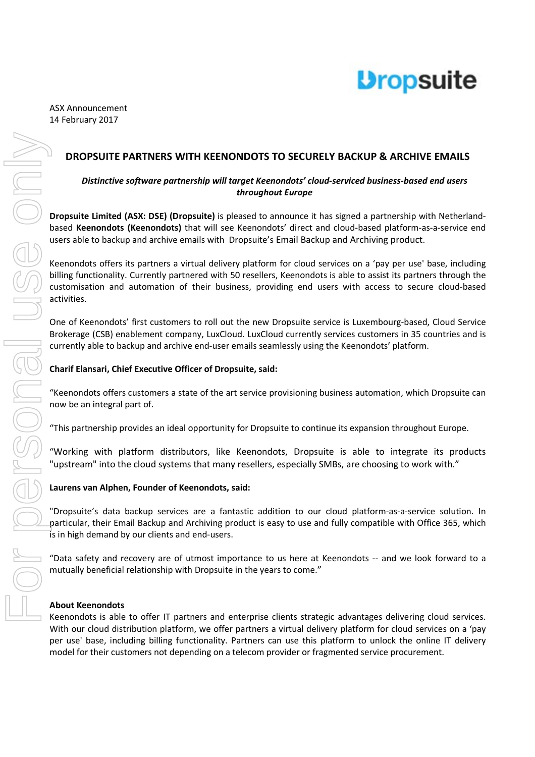

# **DROPSUITE PARTNERS WITH KEENONDOTS TO SECURELY BACKUP & ARCHIVE EMAILS**

## *Distinctive software partnership will target Keenondots' cloud-serviced business-based end users throughout Europe*

**Dropsuite Limited (ASX: DSE) (Dropsuite)** is pleased to announce it has signed a partnership with Netherlandbased **Keenondots (Keenondots)** that will see Keenondots' direct and cloud-based platform-as-a-service end users able to backup and archive emails with Dropsuite's Email Backup and Archiving product.

Keenondots offers its partners a virtual delivery platform for cloud services on a 'pay per use' base, including billing functionality. Currently partnered with 50 resellers, Keenondots is able to assist its partners through the customisation and automation of their business, providing end users with access to secure cloud-based activities.

One of Keenondots' first customers to roll out the new Dropsuite service is Luxembourg-based, Cloud Service Brokerage (CSB) enablement company, LuxCloud. LuxCloud currently services customers in 35 countries and is currently able to backup and archive end-user emails seamlessly using the Keenondots' platform.

# **Charif Elansari, Chief Executive Officer of Dropsuite, said:**

"Keenondots offers customers a state of the art service provisioning business automation, which Dropsuite can now be an integral part of.

"This partnership provides an ideal opportunity for Dropsuite to continue its expansion throughout Europe.

"Working with platform distributors, like Keenondots, Dropsuite is able to integrate its products "upstream" into the cloud systems that many resellers, especially SMBs, are choosing to work with."

#### **Laurens van Alphen, Founder of Keenondots, said:**

"Dropsuite's data backup services are a fantastic addition to our cloud platform-as-a-service solution. In particular, their Email Backup and Archiving product is easy to use and fully compatible with Office 365, which is in high demand by our clients and end-users.

"Data safety and recovery are of utmost importance to us here at Keenondots -- and we look forward to a mutually beneficial relationship with Dropsuite in the years to come."

#### **About Keenondots**

Keenondots is able to offer IT partners and enterprise clients strategic advantages delivering cloud services. With our cloud distribution platform, we offer partners a virtual delivery platform for cloud services on a 'pay per use' base, including billing functionality. Partners can use this platform to unlock the online IT delivery